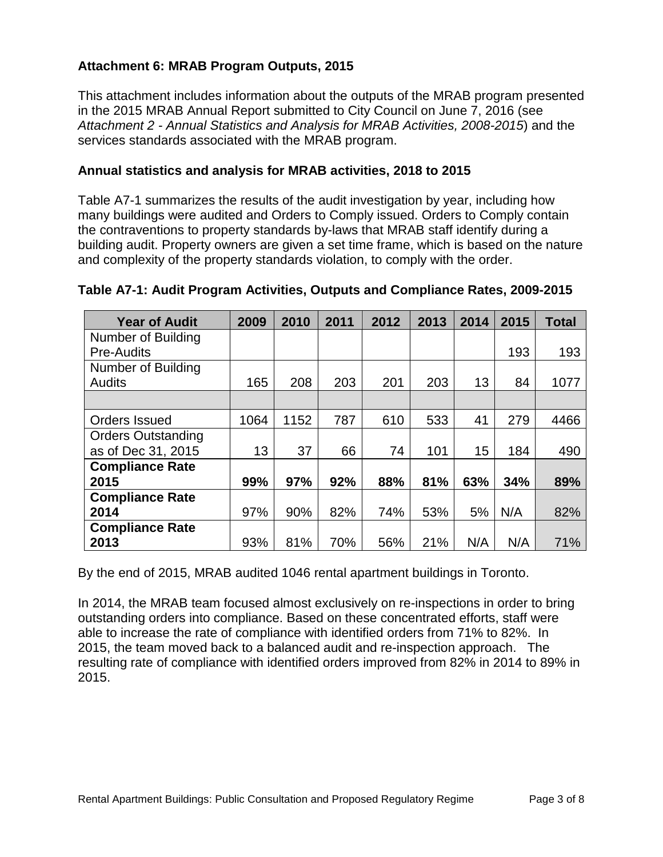## **Attachment 6: MRAB Program Outputs, 2015**

This attachment includes information about the outputs of the MRAB program presented in the 2015 MRAB Annual Report submitted to City Council on June 7, 2016 (see *Attachment 2 - Annual Statistics and Analysis for MRAB Activities, 2008-2015*) and the services standards associated with the MRAB program.

#### **Annual statistics and analysis for MRAB activities, 2018 to 2015**

Table A7-1 summarizes the results of the audit investigation by year, including how many buildings were audited and Orders to Comply issued. Orders to Comply contain the contraventions to property standards by-laws that MRAB staff identify during a building audit. Property owners are given a set time frame, which is based on the nature and complexity of the property standards violation, to comply with the order.

| <b>Year of Audit</b>      | 2009 | 2010 | 2011 | 2012 | 2013 | 2014 | 2015 | Total |
|---------------------------|------|------|------|------|------|------|------|-------|
| Number of Building        |      |      |      |      |      |      |      |       |
| <b>Pre-Audits</b>         |      |      |      |      |      |      | 193  | 193   |
| Number of Building        |      |      |      |      |      |      |      |       |
| Audits                    | 165  | 208  | 203  | 201  | 203  | 13   | 84   | 1077  |
|                           |      |      |      |      |      |      |      |       |
| Orders Issued             | 1064 | 1152 | 787  | 610  | 533  | 41   | 279  | 4466  |
| <b>Orders Outstanding</b> |      |      |      |      |      |      |      |       |
| as of Dec 31, 2015        | 13   | 37   | 66   | 74   | 101  | 15   | 184  | 490   |
| <b>Compliance Rate</b>    |      |      |      |      |      |      |      |       |
| 2015                      | 99%  | 97%  | 92%  | 88%  | 81%  | 63%  | 34%  | 89%   |
| <b>Compliance Rate</b>    |      |      |      |      |      |      |      |       |
| 2014                      | 97%  | 90%  | 82%  | 74%  | 53%  | 5%   | N/A  | 82%   |
| <b>Compliance Rate</b>    |      |      |      |      |      |      |      |       |
| 2013                      | 93%  | 81%  | 70%  | 56%  | 21%  | N/A  | N/A  | 71%   |

#### **Table A7-1: Audit Program Activities, Outputs and Compliance Rates, 2009-2015**

By the end of 2015, MRAB audited 1046 rental apartment buildings in Toronto.

In 2014, the MRAB team focused almost exclusively on re-inspections in order to bring outstanding orders into compliance. Based on these concentrated efforts, staff were able to increase the rate of compliance with identified orders from 71% to 82%. In 2015, the team moved back to a balanced audit and re-inspection approach. The resulting rate of compliance with identified orders improved from 82% in 2014 to 89% in 2015.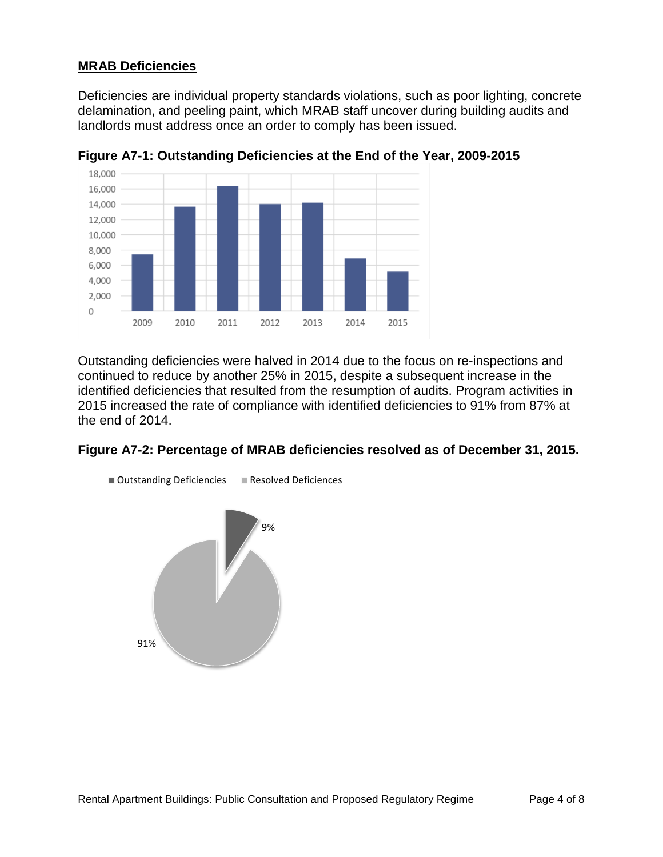### **MRAB Deficiencies**

Deficiencies are individual property standards violations, such as poor lighting, concrete delamination, and peeling paint, which MRAB staff uncover during building audits and landlords must address once an order to comply has been issued.



**Figure A7-1: Outstanding Deficiencies at the End of the Year, 2009-2015**

Outstanding deficiencies were halved in 2014 due to the focus on re-inspections and continued to reduce by another 25% in 2015, despite a subsequent increase in the identified deficiencies that resulted from the resumption of audits. Program activities in 2015 increased the rate of compliance with identified deficiencies to 91% from 87% at the end of 2014.

#### **Figure A7-2: Percentage of MRAB deficiencies resolved as of December 31, 2015.**

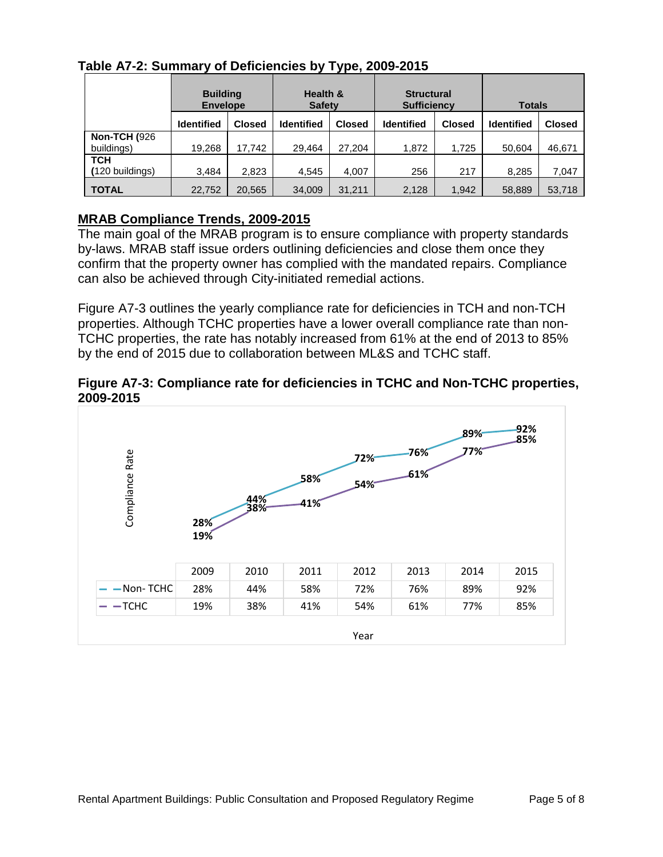|                      | <b>Building</b><br><b>Envelope</b> |               | Health &<br><b>Safety</b> |               | <b>Structural</b><br><b>Sufficiency</b> |               | <b>Totals</b>     |               |
|----------------------|------------------------------------|---------------|---------------------------|---------------|-----------------------------------------|---------------|-------------------|---------------|
|                      | <b>Identified</b>                  | <b>Closed</b> | <b>Identified</b>         | <b>Closed</b> | <b>Identified</b>                       | <b>Closed</b> | <b>Identified</b> | <b>Closed</b> |
| <b>Non-TCH (926)</b> |                                    |               |                           |               |                                         |               |                   |               |
| buildings)           | 19.268                             | 17.742        | 29,464                    | 27.204        | 1,872                                   | 1,725         | 50.604            | 46,671        |
| <b>TCH</b>           |                                    |               |                           |               |                                         |               |                   |               |
| (120 buildings)      | 3.484                              | 2,823         | 4,545                     | 4.007         | 256                                     | 217           | 8,285             | 7,047         |
| <b>TOTAL</b>         | 22.752                             | 20,565        | 34,009                    | 31,211        | 2.128                                   | 1.942         | 58,889            | 53,718        |

**Table A7-2: Summary of Deficiencies by Type, 2009-2015**

### **MRAB Compliance Trends, 2009-2015**

The main goal of the MRAB program is to ensure compliance with property standards by-laws. MRAB staff issue orders outlining deficiencies and close them once they confirm that the property owner has complied with the mandated repairs. Compliance can also be achieved through City-initiated remedial actions.

Figure A7-3 outlines the yearly compliance rate for deficiencies in TCH and non-TCH properties. Although TCHC properties have a lower overall compliance rate than non-TCHC properties, the rate has notably increased from 61% at the end of 2013 to 85% by the end of 2015 due to collaboration between ML&S and TCHC staff.

**Figure A7-3: Compliance rate for deficiencies in TCHC and Non-TCHC properties, 2009-2015**

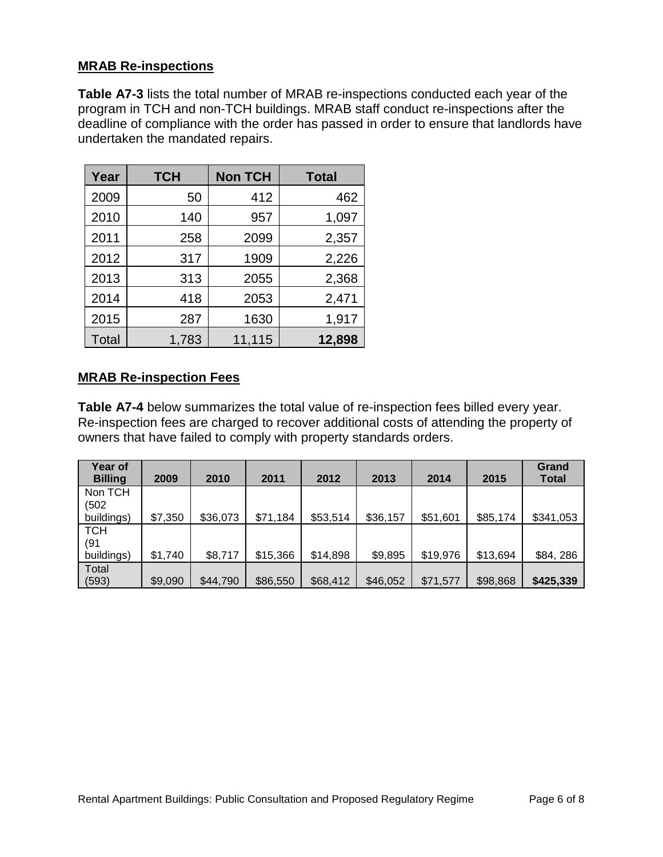### **MRAB Re-inspections**

**Table A7-3** lists the total number of MRAB re-inspections conducted each year of the program in TCH and non-TCH buildings. MRAB staff conduct re-inspections after the deadline of compliance with the order has passed in order to ensure that landlords have undertaken the mandated repairs.

| Year  | <b>TCH</b> | <b>Non TCH</b> | <b>Total</b> |
|-------|------------|----------------|--------------|
| 2009  | 50         | 412            | 462          |
| 2010  | 140        | 957            | 1,097        |
| 2011  | 258        | 2099           | 2,357        |
| 2012  | 317        | 1909           | 2,226        |
| 2013  | 313        | 2055           | 2,368        |
| 2014  | 418        | 2053           | 2,471        |
| 2015  | 287        | 1630           | 1,917        |
| Total | 1,783      | 11,115         | 12,898       |

### **MRAB Re-inspection Fees**

**Table A7-4** below summarizes the total value of re-inspection fees billed every year. Re-inspection fees are charged to recover additional costs of attending the property of owners that have failed to comply with property standards orders.

| Year of<br><b>Billing</b> | 2009    | 2010     | 2011     | 2012     | 2013     | 2014     | 2015     | Grand<br><b>Total</b> |
|---------------------------|---------|----------|----------|----------|----------|----------|----------|-----------------------|
| Non TCH<br>(502           |         |          |          |          |          |          |          |                       |
| buildings)                | \$7,350 | \$36,073 | \$71,184 | \$53,514 | \$36,157 | \$51,601 | \$85,174 | \$341,053             |
| <b>TCH</b>                |         |          |          |          |          |          |          |                       |
| (91<br>buildings)         | \$1,740 | \$8,717  | \$15,366 | \$14,898 | \$9,895  | \$19,976 | \$13,694 | \$84, 286             |
| Total                     |         |          |          |          |          |          |          |                       |
| (593)                     | \$9,090 | \$44,790 | \$86,550 | \$68,412 | \$46,052 | \$71,577 | \$98,868 | \$425,339             |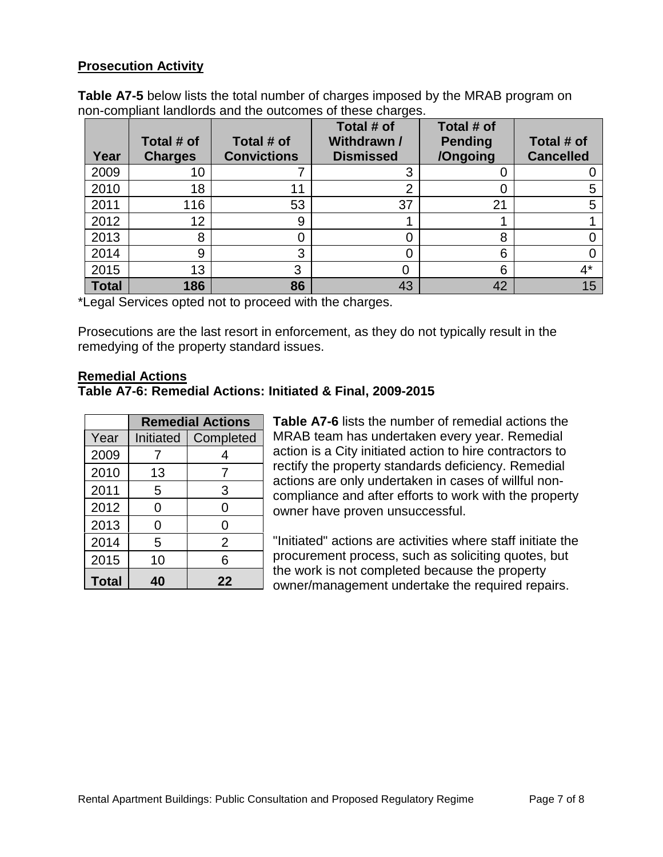### **Prosecution Activity**

**Table A7-5** below lists the total number of charges imposed by the MRAB program on non-compliant landlords and the outcomes of these charges.

| Year         | Total # of<br><b>Charges</b> | Total # of<br><b>Convictions</b> | Total # of<br>Withdrawn /<br><b>Dismissed</b> | Total # of<br><b>Pending</b><br>/Ongoing | Total # of<br><b>Cancelled</b> |
|--------------|------------------------------|----------------------------------|-----------------------------------------------|------------------------------------------|--------------------------------|
| 2009         | 10                           |                                  | 3                                             |                                          |                                |
| 2010         | 18                           | 11                               | ⌒                                             |                                          |                                |
| 2011         | 116                          | 53                               | 37                                            | 21                                       | 5                              |
| 2012         | 12                           | 9                                |                                               |                                          |                                |
| 2013         | 8                            |                                  |                                               | 8                                        |                                |
| 2014         | 9                            | 3                                |                                               | 6                                        |                                |
| 2015         | 13                           | 3                                |                                               | 6                                        | 4*                             |
| <b>Total</b> | 186                          | 86                               | 43                                            | 42                                       | 15                             |

\*Legal Services opted not to proceed with the charges.

Prosecutions are the last resort in enforcement, as they do not typically result in the remedying of the property standard issues.

#### **Remedial Actions**

#### **Table A7-6: Remedial Actions: Initiated & Final, 2009-2015**

|              | <b>Remedial Actions</b> |           |  |  |  |
|--------------|-------------------------|-----------|--|--|--|
| Year         | <b>Initiated</b>        | Completed |  |  |  |
| 2009         | 7                       | 4         |  |  |  |
| 2010         | 13                      | 7         |  |  |  |
| 2011         | 5                       | 3         |  |  |  |
| 2012         | $\overline{0}$          | 0         |  |  |  |
| 2013         | 0                       | 0         |  |  |  |
| 2014         | 5                       | 2         |  |  |  |
| 2015         | 10                      | 6         |  |  |  |
| <b>Total</b> |                         | 22        |  |  |  |

**Table A7-6** lists the number of remedial actions the MRAB team has undertaken every year. Remedial action is a City initiated action to hire contractors to rectify the property standards deficiency. Remedial actions are only undertaken in cases of willful noncompliance and after efforts to work with the property owner have proven unsuccessful.

"Initiated" actions are activities where staff initiate the procurement process, such as soliciting quotes, but the work is not completed because the property owner/management undertake the required repairs.